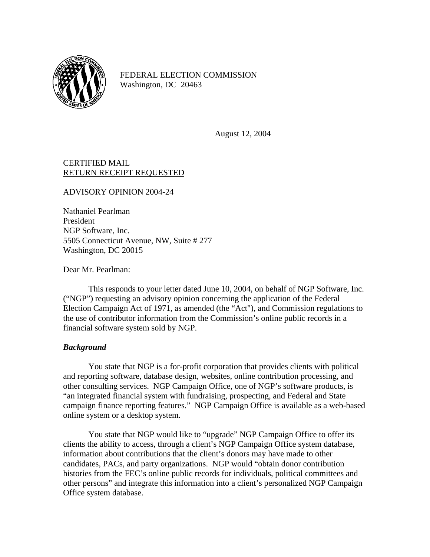

FEDERAL ELECTION COMMISSION Washington, DC 20463

August 12, 2004

## CERTIFIED MAIL RETURN RECEIPT REQUESTED

ADVISORY OPINION 2004-24

Nathaniel Pearlman President NGP Software, Inc. 5505 Connecticut Avenue, NW, Suite # 277 Washington, DC 20015

Dear Mr. Pearlman:

This responds to your letter dated June 10, 2004, on behalf of NGP Software, Inc. ("NGP") requesting an advisory opinion concerning the application of the Federal Election Campaign Act of 1971, as amended (the "Act"), and Commission regulations to the use of contributor information from the Commission's online public records in a financial software system sold by NGP.

## *Background*

You state that NGP is a for-profit corporation that provides clients with political and reporting software, database design, websites, online contribution processing, and other consulting services. NGP Campaign Office, one of NGP's software products, is "an integrated financial system with fundraising, prospecting, and Federal and State campaign finance reporting features." NGP Campaign Office is available as a web-based online system or a desktop system.

You state that NGP would like to "upgrade" NGP Campaign Office to offer its clients the ability to access, through a client's NGP Campaign Office system database, information about contributions that the client's donors may have made to other candidates, PACs, and party organizations. NGP would "obtain donor contribution histories from the FEC's online public records for individuals, political committees and other persons" and integrate this information into a client's personalized NGP Campaign Office system database.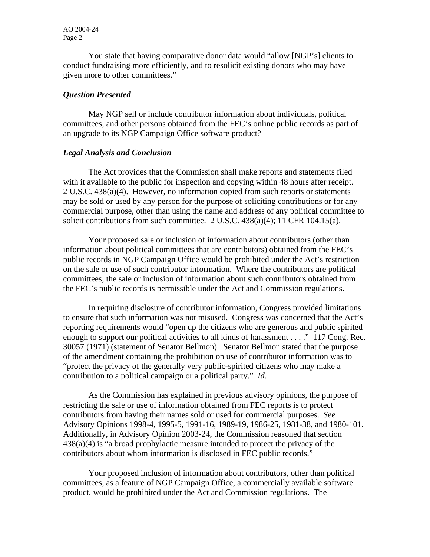You state that having comparative donor data would "allow [NGP's] clients to conduct fundraising more efficiently, and to resolicit existing donors who may have given more to other committees."

## *Question Presented*

 May NGP sell or include contributor information about individuals, political committees, and other persons obtained from the FEC's online public records as part of an upgrade to its NGP Campaign Office software product?

## *Legal Analysis and Conclusion*

 The Act provides that the Commission shall make reports and statements filed with it available to the public for inspection and copying within 48 hours after receipt. 2 U.S.C. 438(a)(4). However, no information copied from such reports or statements may be sold or used by any person for the purpose of soliciting contributions or for any commercial purpose, other than using the name and address of any political committee to solicit contributions from such committee. 2 U.S.C. 438(a)(4); 11 CFR 104.15(a).

 Your proposed sale or inclusion of information about contributors (other than information about political committees that are contributors) obtained from the FEC's public records in NGP Campaign Office would be prohibited under the Act's restriction on the sale or use of such contributor information. Where the contributors are political committees, the sale or inclusion of information about such contributors obtained from the FEC's public records is permissible under the Act and Commission regulations.

 In requiring disclosure of contributor information, Congress provided limitations to ensure that such information was not misused. Congress was concerned that the Act's reporting requirements would "open up the citizens who are generous and public spirited enough to support our political activities to all kinds of harassment . . . ." 117 Cong. Rec. 30057 (1971) (statement of Senator Bellmon). Senator Bellmon stated that the purpose of the amendment containing the prohibition on use of contributor information was to "protect the privacy of the generally very public-spirited citizens who may make a contribution to a political campaign or a political party." *Id.* 

 As the Commission has explained in previous advisory opinions, the purpose of restricting the sale or use of information obtained from FEC reports is to protect contributors from having their names sold or used for commercial purposes. *See* Advisory Opinions 1998-4, 1995-5, 1991-16, 1989-19, 1986-25, 1981-38, and 1980-101. Additionally, in Advisory Opinion 2003-24, the Commission reasoned that section 438(a)(4) is "a broad prophylactic measure intended to protect the privacy of the contributors about whom information is disclosed in FEC public records."

 Your proposed inclusion of information about contributors, other than political committees, as a feature of NGP Campaign Office, a commercially available software product, would be prohibited under the Act and Commission regulations. The